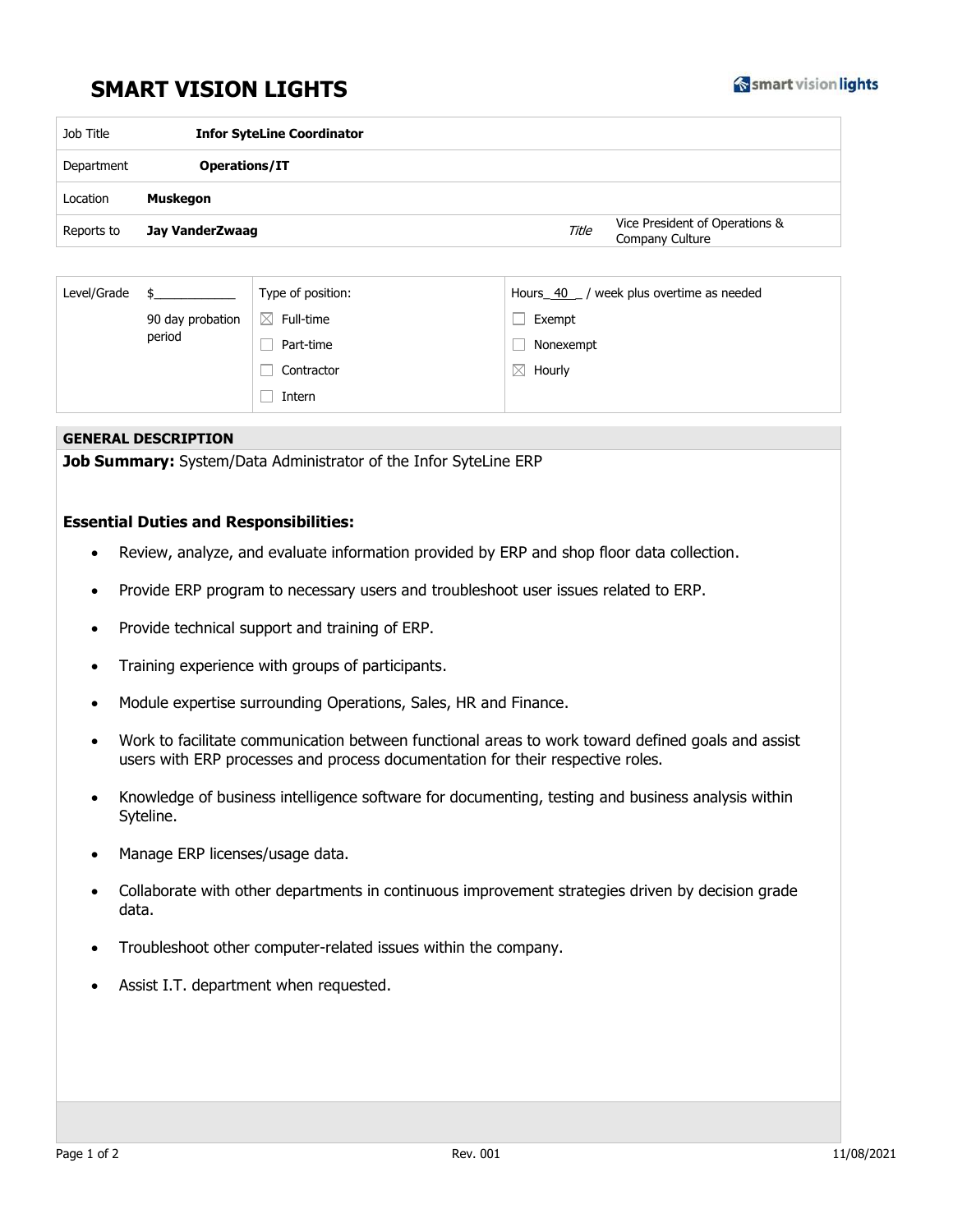## **SMART VISION LIGHTS**



| Job Title  | <b>Infor SyteLine Coordinator</b> |       |                                                   |  |  |
|------------|-----------------------------------|-------|---------------------------------------------------|--|--|
| Department | Operations/IT                     |       |                                                   |  |  |
| Location   | Muskegon                          |       |                                                   |  |  |
| Reports to | Jay VanderZwaag                   | Title | Vice President of Operations &<br>Company Culture |  |  |

| Level/Grade |                            | Type of position: | week plus overtime as needed<br>Hours 40 |
|-------------|----------------------------|-------------------|------------------------------------------|
|             | 90 day probation<br>period | ⊠<br>Full-time    | Exempt                                   |
|             |                            | Part-time         | Nonexempt                                |
|             |                            | Contractor        | $\boxtimes$<br>Hourly                    |
|             |                            | Intern            |                                          |

## **GENERAL DESCRIPTION**

**Job Summary:** System/Data Administrator of the Infor SyteLine ERP

## **Essential Duties and Responsibilities:**

- Review, analyze, and evaluate information provided by ERP and shop floor data collection.
- Provide ERP program to necessary users and troubleshoot user issues related to ERP.
- Provide technical support and training of ERP.
- Training experience with groups of participants.
- Module expertise surrounding Operations, Sales, HR and Finance.
- Work to facilitate communication between functional areas to work toward defined goals and assist users with ERP processes and process documentation for their respective roles.
- Knowledge of business intelligence software for documenting, testing and business analysis within Syteline.
- Manage ERP licenses/usage data.
- Collaborate with other departments in continuous improvement strategies driven by decision grade data.
- Troubleshoot other computer-related issues within the company.
- Assist I.T. department when requested.